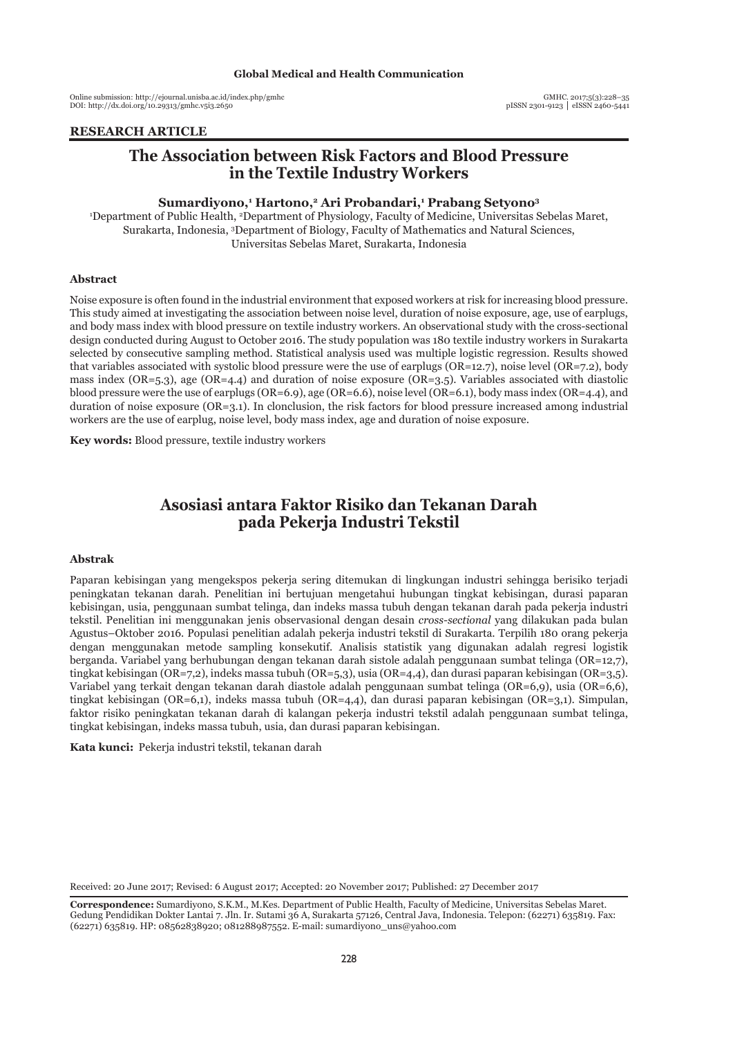# **Global Medical and Health Communication**

Online submission: http://ejournal.unisba.ac.id/index.php/gmhc DOI: pISSN 2301-9123 │ eISSN 2460-5441 http://dx.doi.org/10.29313/gmhc.v5i3.2650

#### **ARTIKEL PENELITIAN RESEARCH ARTICLE**

# **The Association between Risk Factors and Blood Pressure in the Textile Industry Workers**

### **Sumardiyono,1 Hartono,2 Ari Probandari,1 Prabang Setyono3**

1 Department of Public Health, 2 Department of Physiology, Faculty of Medicine, Universitas Sebelas Maret, Surakarta, Indonesia, 3 Department of Biology, Faculty of Mathematics and Natural Sciences, Universitas Sebelas Maret, Surakarta, Indonesia

#### **Abstract**

Noise exposure is often found in the industrial environment that exposed workers at risk for increasing blood pressure. This study aimed at investigating the association between noise level, duration of noise exposure, age, use of earplugs, and body mass index with blood pressure on textile industry workers. An observational study with the cross-sectional design conducted during August to October 2016. The study population was 180 textile industry workers in Surakarta selected by consecutive sampling method. Statistical analysis used was multiple logistic regression. Results showed that variables associated with systolic blood pressure were the use of earplugs (OR=12.7), noise level (OR=7.2), body mass index (OR=5.3), age (OR=4.4) and duration of noise exposure (OR=3.5). Variables associated with diastolic blood pressure were the use of earplugs (OR=6.9), age (OR=6.6), noise level (OR=6.1), body mass index (OR=4.4), and duration of noise exposure (OR=3.1). In clonclusion, the risk factors for blood pressure increased among industrial workers are the use of earplug, noise level, body mass index, age and duration of noise exposure.

**Key words:** Blood pressure, textile industry workers

# **Asosiasi antara Faktor Risiko dan Tekanan Darah pada Pekerja Industri Tekstil**

#### **Abstrak**

Paparan kebisingan yang mengekspos pekerja sering ditemukan di lingkungan industri sehingga berisiko terjadi peningkatan tekanan darah. Penelitian ini bertujuan mengetahui hubungan tingkat kebisingan, durasi paparan kebisingan, usia, penggunaan sumbat telinga, dan indeks massa tubuh dengan tekanan darah pada pekerja industri tekstil. Penelitian ini menggunakan jenis observasional dengan desain *cross-sectional* yang dilakukan pada bulan Agustus–Oktober 2016. Populasi penelitian adalah pekerja industri tekstil di Surakarta. Terpilih 180 orang pekerja dengan menggunakan metode sampling konsekutif. Analisis statistik yang digunakan adalah regresi logistik berganda. Variabel yang berhubungan dengan tekanan darah sistole adalah penggunaan sumbat telinga (OR=12,7), tingkat kebisingan (OR=7,2), indeks massa tubuh (OR=5,3), usia (OR=4,4), dan durasi paparan kebisingan (OR=3,5). Variabel yang terkait dengan tekanan darah diastole adalah penggunaan sumbat telinga (OR=6,9), usia (OR=6,6), tingkat kebisingan (OR=6,1), indeks massa tubuh (OR=4,4), dan durasi paparan kebisingan (OR=3,1). Simpulan, faktor risiko peningkatan tekanan darah di kalangan pekerja industri tekstil adalah penggunaan sumbat telinga, tingkat kebisingan, indeks massa tubuh, usia, dan durasi paparan kebisingan.

**Kata kunci:** Pekerja industri tekstil, tekanan darah

Received: 20 June 2017; Revised: 6 August 2017; Accepted: 20 November 2017; Published: 27 December 2017

**Correspondence:** Sumardiyono, S.K.M., M.Kes. Department of Public Health, Faculty of Medicine, Universitas Sebelas Maret. Gedung Pendidikan Dokter Lantai 7. Jln. Ir. Sutami 36 A, Surakarta 57126, Central Java, Indonesia. Telepon: (62271) 635819. Fax: (62271) 635819. HP: 08562838920; 081288987552. E-mail: sumardiyono\_uns@yahoo.com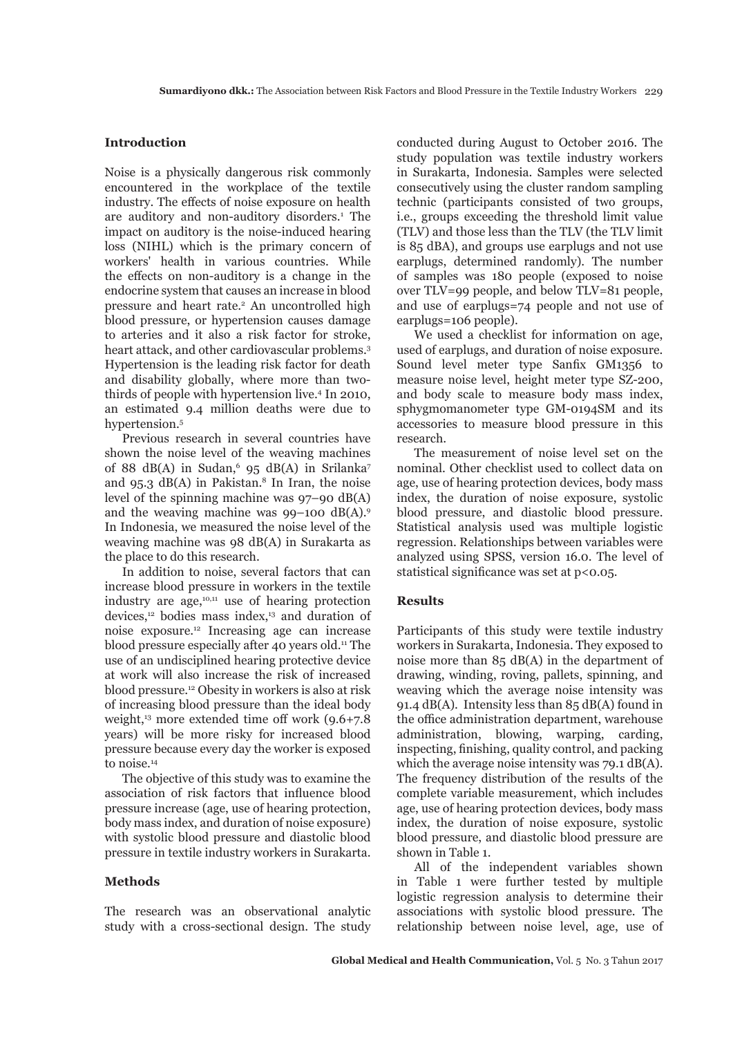# **Introduction**

Noise is a physically dangerous risk commonly encountered in the workplace of the textile industry. The effects of noise exposure on health are auditory and non-auditory disorders.<sup>1</sup> The impact on auditory is the noise-induced hearing loss (NIHL) which is the primary concern of workers' health in various countries. While the effects on non-auditory is a change in the endocrine system that causes an increase in blood pressure and heart rate.<sup>2</sup> An uncontrolled high blood pressure, or hypertension causes damage to arteries and it also a risk factor for stroke, heart attack, and other cardiovascular problems.<sup>3</sup> Hypertension is the leading risk factor for death and disability globally, where more than twothirds of people with hypertension live.4 In 2010, an estimated 9.4 million deaths were due to hypertension.5

Previous research in several countries have shown the noise level of the weaving machines of 88 dB(A) in Sudan,  $95$  dB(A) in Srilanka<sup>7</sup> and 95.3  $dB(A)$  in Pakistan.<sup>8</sup> In Iran, the noise level of the spinning machine was 97–90 dB(A) and the weaving machine was  $99-100$  dB(A).<sup>9</sup> In Indonesia, we measured the noise level of the weaving machine was 98 dB(A) in Surakarta as the place to do this research.

In addition to noise, several factors that can increase blood pressure in workers in the textile industry are age,<sup>10,11</sup> use of hearing protection devices,<sup>12</sup> bodies mass index,<sup>13</sup> and duration of noise exposure.12 Increasing age can increase blood pressure especially after 40 years old.<sup>11</sup> The use of an undisciplined hearing protective device at work will also increase the risk of increased blood pressure.12 Obesity in workers is also at risk of increasing blood pressure than the ideal body weight, $13$  more extended time off work  $(9.6+7.8)$ years) will be more risky for increased blood pressure because every day the worker is exposed to noise.<sup>14</sup>

The objective of this study was to examine the association of risk factors that influence blood pressure increase (age, use of hearing protection, body mass index, and duration of noise exposure) with systolic blood pressure and diastolic blood pressure in textile industry workers in Surakarta.

# **Methods**

The research was an observational analytic study with a cross-sectional design. The study conducted during August to October 2016. The study population was textile industry workers in Surakarta, Indonesia. Samples were selected consecutively using the cluster random sampling technic (participants consisted of two groups, i.e., groups exceeding the threshold limit value (TLV) and those less than the TLV (the TLV limit is 85 dBA), and groups use earplugs and not use earplugs, determined randomly). The number of samples was 180 people (exposed to noise over TLV=99 people, and below TLV=81 people, and use of earplugs=74 people and not use of earplugs=106 people).

We used a checklist for information on age, used of earplugs, and duration of noise exposure. Sound level meter type Sanfix GM1356 to measure noise level, height meter type SZ-200, and body scale to measure body mass index, sphygmomanometer type GM-0194SM and its accessories to measure blood pressure in this research.

The measurement of noise level set on the nominal. Other checklist used to collect data on age, use of hearing protection devices, body mass index, the duration of noise exposure, systolic blood pressure, and diastolic blood pressure. Statistical analysis used was multiple logistic regression. Relationships between variables were analyzed using SPSS, version 16.0. The level of statistical significance was set at p<0.05.

# **Results**

Participants of this study were textile industry workers in Surakarta, Indonesia. They exposed to noise more than 85 dB(A) in the department of drawing, winding, roving, pallets, spinning, and weaving which the average noise intensity was 91.4  $dB(A)$ . Intensity less than 85 dB(A) found in the office administration department, warehouse administration, blowing, warping, carding, inspecting, finishing, quality control, and packing which the average noise intensity was 79.1 dB(A). The frequency distribution of the results of the complete variable measurement, which includes age, use of hearing protection devices, body mass index, the duration of noise exposure, systolic blood pressure, and diastolic blood pressure are shown in Table 1.

All of the independent variables shown in Table 1 were further tested by multiple logistic regression analysis to determine their associations with systolic blood pressure. The relationship between noise level, age, use of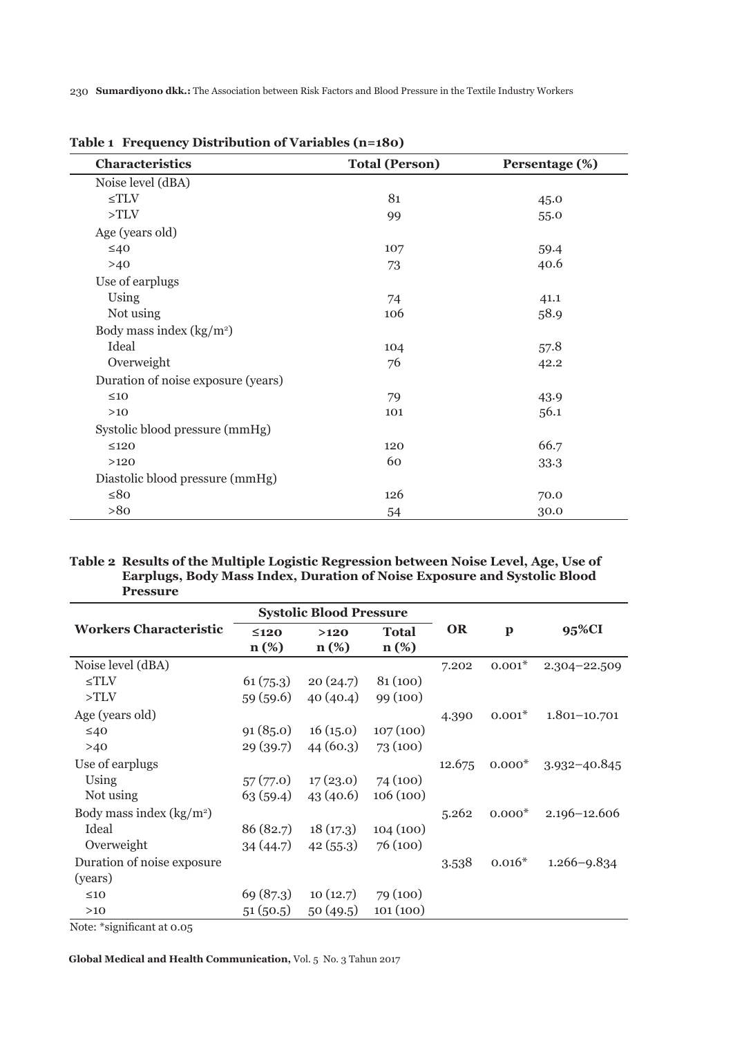230 **Sumardiyono dkk.:** The Association between Risk Factors and Blood Pressure in the Textile Industry Workers

| Characteristics                    | <b>Total (Person)</b> | Persentage (%) |
|------------------------------------|-----------------------|----------------|
| Noise level (dBA)                  |                       |                |
| $\leq TLV$                         | 81                    | 45.0           |
| >TLV                               | 99                    | 55.0           |
| Age (years old)                    |                       |                |
| $\leq 40$                          | 107                   | 59.4           |
| $>40$                              | 73                    | 40.6           |
| Use of earplugs                    |                       |                |
| Using                              | 74                    | 41.1           |
| Not using                          | 106                   | 58.9           |
| Body mass index $(kg/m2)$          |                       |                |
| Ideal                              | 104                   | 57.8           |
| Overweight                         | 76                    | 42.2           |
| Duration of noise exposure (years) |                       |                |
| $\leq 10$                          | 79                    | 43.9           |
| $>10$                              | 101                   | 56.1           |
| Systolic blood pressure (mmHg)     |                       |                |
| $\leq 120$                         | 120                   | 66.7           |
| >120                               | 60                    | 33.3           |
| Diastolic blood pressure (mmHg)    |                       |                |
| $≤80$                              | 126                   | 70.0           |
| >80                                | 54                    | 30.0           |

**Table 1 Frequency Distribution of Variables (n=180)**

# **Table 2 Results of the Multiple Logistic Regression between Noise Level, Age, Use of Earplugs, Body Mass Index, Duration of Noise Exposure and Systolic Blood Pressure**

|                               | <b>Systolic Blood Pressure</b> |                   |                         |           |              |                  |
|-------------------------------|--------------------------------|-------------------|-------------------------|-----------|--------------|------------------|
| <b>Workers Characteristic</b> | $\leq$ 120<br>$n(\%)$          | $>120$<br>$n(\%)$ | <b>Total</b><br>$n(\%)$ | <b>OR</b> | $\mathbf{p}$ | 95%CI            |
| Noise level (dBA)             |                                |                   |                         | 7.202     | $0.001*$     | 2.304-22.509     |
| $\leq TLV$                    | 61(75.3)                       | 20(24.7)          | 81(100)                 |           |              |                  |
| >TLV                          | 59(59.6)                       | 40(40.4)          | 99 (100)                |           |              |                  |
| Age (years old)               |                                |                   |                         | 4.390     | $0.001*$     | $1.801 - 10.701$ |
| $\leq 40$                     | 91(85.0)                       | 16(15.0)          | 107(100)                |           |              |                  |
| >40                           | 29(39.7)                       | 44(60.3)          | 73 (100)                |           |              |                  |
| Use of earplugs               |                                |                   |                         | 12.675    | $0.000*$     | $3.932 - 40.845$ |
| Using                         | 57(77.0)                       | 17(23.0)          | 74 (100)                |           |              |                  |
| Not using                     | 63(59.4)                       | 43(40.6)          | 106(100)                |           |              |                  |
| Body mass index $(kg/m2)$     |                                |                   |                         | 5.262     | $0.000*$     | $2.196 - 12.606$ |
| Ideal                         | 86 (82.7)                      | 18(17.3)          | 104(100)                |           |              |                  |
| Overweight                    | 34(44.7)                       | 42(55.3)          | 76 (100)                |           |              |                  |
| Duration of noise exposure    |                                |                   |                         | 3.538     | $0.016*$     | $1.266 - 9.834$  |
| (years)                       |                                |                   |                         |           |              |                  |
| $\leq 10$                     | 69 (87.3)                      | 10(12.7)          | 79 (100)                |           |              |                  |
| >10                           | 51(50.5)                       | 50(49.5)          | 101(100)                |           |              |                  |

Note: \*significant at 0.05

**Global Medical and Health Communication,** Vol. 5 No. 3 Tahun 2017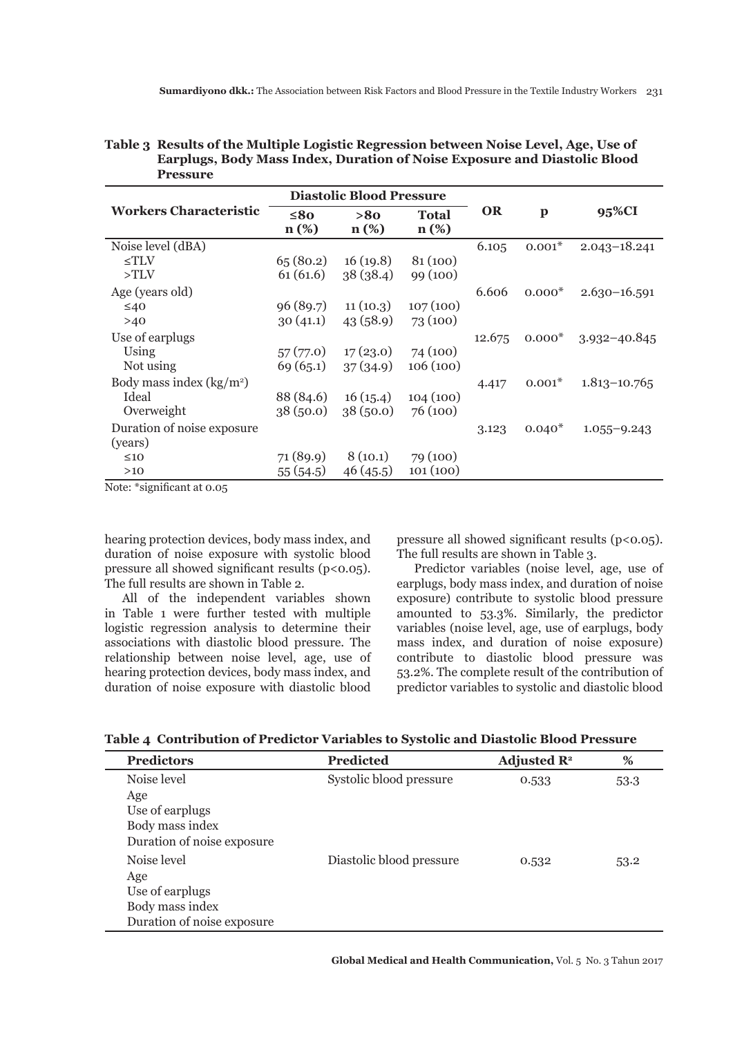| <b>Pressure</b>                       |                                 |                |                         |           |              |                  |
|---------------------------------------|---------------------------------|----------------|-------------------------|-----------|--------------|------------------|
|                                       | <b>Diastolic Blood Pressure</b> |                |                         |           |              |                  |
| <b>Workers Characteristic</b>         | $\leq 80$<br>$n(\%)$            | >80<br>$n(\%)$ | <b>Total</b><br>$n(\%)$ | <b>OR</b> | $\mathbf{p}$ | 95%CI            |
| Noise level (dBA)                     |                                 |                |                         | 6.105     | $0.001*$     | $2.043 - 18.241$ |
| $\leq TLV$                            | 65(80.2)                        | 16(19.8)       | 81(100)                 |           |              |                  |
| >TLV                                  | 61(61.6)                        | 38(38.4)       | 99 (100)                |           |              |                  |
| Age (years old)                       |                                 |                |                         | 6.606     | $0.000*$     | $2.630 - 16.591$ |
| $\leq 40$                             | 96(89.7)                        | 11(10.3)       | 107(100)                |           |              |                  |
| >40                                   | 30(41.1)                        | 43(58.9)       | 73(100)                 |           |              |                  |
| Use of earplugs                       |                                 |                |                         | 12.675    | $0.000*$     | $3.932 - 40.845$ |
| Using                                 | 57(77.0)                        | 17(23.0)       | 74 (100)                |           |              |                  |
| Not using                             | 69(65.1)                        | 37(34.9)       | 106(100)                |           |              |                  |
| Body mass index $(kg/m2)$             |                                 |                |                         | 4.417     | $0.001*$     | $1.813 - 10.765$ |
| Ideal                                 | 88 (84.6)                       | 16(15.4)       | 104(100)                |           |              |                  |
| Overweight                            | 38(50.0)                        | 38(50.0)       | 76(100)                 |           |              |                  |
| Duration of noise exposure<br>(years) |                                 |                |                         | 3.123     | $0.040*$     | $1.055 - 9.243$  |
| $\leq 10$                             | 71(89.9)                        | 8(10.1)        | 79 (100)                |           |              |                  |

46 (45.5)

101 (100)

# **Table 3 Results of the Multiple Logistic Regression between Noise Level, Age, Use of Earplugs, Body Mass Index, Duration of Noise Exposure and Diastolic Blood**

Note: \*significant at 0.05

 $>10$ 

hearing protection devices, body mass index, and duration of noise exposure with systolic blood pressure all showed significant results  $(p<0.05)$ . The full results are shown in Table 2.

55 (54.5)

All of the independent variables shown in Table 1 were further tested with multiple logistic regression analysis to determine their associations with diastolic blood pressure. The relationship between noise level, age, use of hearing protection devices, body mass index, and duration of noise exposure with diastolic blood

pressure all showed significant results  $(p<0.05)$ . The full results are shown in Table 3.

Predictor variables (noise level, age, use of earplugs, body mass index, and duration of noise exposure) contribute to systolic blood pressure amounted to 53.3%. Similarly, the predictor variables (noise level, age, use of earplugs, body mass index, and duration of noise exposure) contribute to diastolic blood pressure was 53.2%. The complete result of the contribution of predictor variables to systolic and diastolic blood

|  |  | Table 4 Contribution of Predictor Variables to Systolic and Diastolic Blood Pressure |
|--|--|--------------------------------------------------------------------------------------|
|--|--|--------------------------------------------------------------------------------------|

| <b>Predictors</b>          | <b>Predicted</b>         | Adjusted $\mathbb{R}^2$ | %    |
|----------------------------|--------------------------|-------------------------|------|
| Noise level                | Systolic blood pressure  | 0.533                   | 53.3 |
| Age                        |                          |                         |      |
| Use of earplugs            |                          |                         |      |
| Body mass index            |                          |                         |      |
| Duration of noise exposure |                          |                         |      |
| Noise level                | Diastolic blood pressure | 0.532                   | 53.2 |
| Age                        |                          |                         |      |
| Use of earplugs            |                          |                         |      |
| Body mass index            |                          |                         |      |
| Duration of noise exposure |                          |                         |      |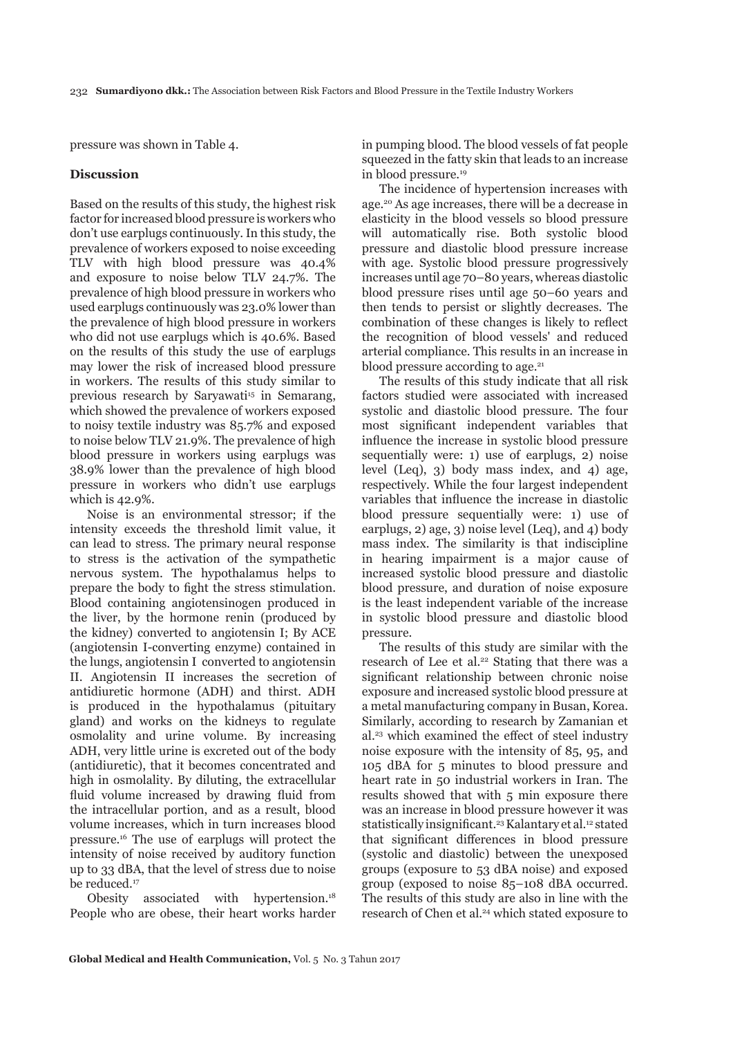pressure was shown in Table 4.

# **Discussion**

Based on the results of this study, the highest risk factor for increased blood pressure is workers who don't use earplugs continuously. In this study, the prevalence of workers exposed to noise exceeding TLV with high blood pressure was 40.4% and exposure to noise below TLV 24.7%. The prevalence of high blood pressure in workers who used earplugs continuously was 23.0% lower than the prevalence of high blood pressure in workers who did not use earplugs which is 40.6%. Based on the results of this study the use of earplugs may lower the risk of increased blood pressure in workers. The results of this study similar to previous research by Saryawati<sup>15</sup> in Semarang, which showed the prevalence of workers exposed to noisy textile industry was 85.7% and exposed to noise below TLV 21.9%. The prevalence of high blood pressure in workers using earplugs was 38.9% lower than the prevalence of high blood pressure in workers who didn't use earplugs which is 42.9%.

Noise is an environmental stressor; if the intensity exceeds the threshold limit value, it can lead to stress. The primary neural response to stress is the activation of the sympathetic nervous system. The hypothalamus helps to prepare the body to fight the stress stimulation. Blood containing angiotensinogen produced in the liver, by the hormone renin (produced by the kidney) converted to angiotensin I; By ACE (angiotensin I-converting enzyme) contained in the lungs, angiotensin I converted to angiotensin II. Angiotensin II increases the secretion of antidiuretic hormone (ADH) and thirst. ADH is produced in the hypothalamus (pituitary gland) and works on the kidneys to regulate osmolality and urine volume. By increasing ADH, very little urine is excreted out of the body (antidiuretic), that it becomes concentrated and high in osmolality. By diluting, the extracellular fluid volume increased by drawing fluid from the intracellular portion, and as a result, blood volume increases, which in turn increases blood pressure.16 The use of earplugs will protect the intensity of noise received by auditory function up to 33 dBA, that the level of stress due to noise be reduced.<sup>17</sup>

Obesity associated with hypertension.<sup>18</sup> People who are obese, their heart works harder in pumping blood. The blood vessels of fat people squeezed in the fatty skin that leads to an increase in blood pressure.19

The incidence of hypertension increases with age.20 As age increases, there will be a decrease in elasticity in the blood vessels so blood pressure will automatically rise. Both systolic blood pressure and diastolic blood pressure increase with age. Systolic blood pressure progressively increases until age 70–80 years, whereas diastolic blood pressure rises until age 50–60 years and then tends to persist or slightly decreases. The combination of these changes is likely to reflect the recognition of blood vessels' and reduced arterial compliance. This results in an increase in blood pressure according to age. $21$ 

The results of this study indicate that all risk factors studied were associated with increased systolic and diastolic blood pressure. The four most significant independent variables that influence the increase in systolic blood pressure sequentially were: 1) use of earplugs, 2) noise level (Leq), 3) body mass index, and 4) age, respectively. While the four largest independent variables that influence the increase in diastolic blood pressure sequentially were: 1) use of earplugs, 2) age, 3) noise level (Leq), and 4) body mass index. The similarity is that indiscipline in hearing impairment is a major cause of increased systolic blood pressure and diastolic blood pressure, and duration of noise exposure is the least independent variable of the increase in systolic blood pressure and diastolic blood pressure.

The results of this study are similar with the research of Lee et al.<sup>22</sup> Stating that there was a significant relationship between chronic noise exposure and increased systolic blood pressure at a metal manufacturing company in Busan, Korea. Similarly, according to research by Zamanian et al.23 which examined the effect of steel industry noise exposure with the intensity of 85, 95, and 105 dBA for 5 minutes to blood pressure and heart rate in 50 industrial workers in Iran. The results showed that with 5 min exposure there was an increase in blood pressure however it was statistically insignificant.<sup>23</sup> Kalantary et al.<sup>12</sup> stated that significant differences in blood pressure (systolic and diastolic) between the unexposed groups (exposure to 53 dBA noise) and exposed group (exposed to noise 85–108 dBA occurred. The results of this study are also in line with the research of Chen et al.<sup>24</sup> which stated exposure to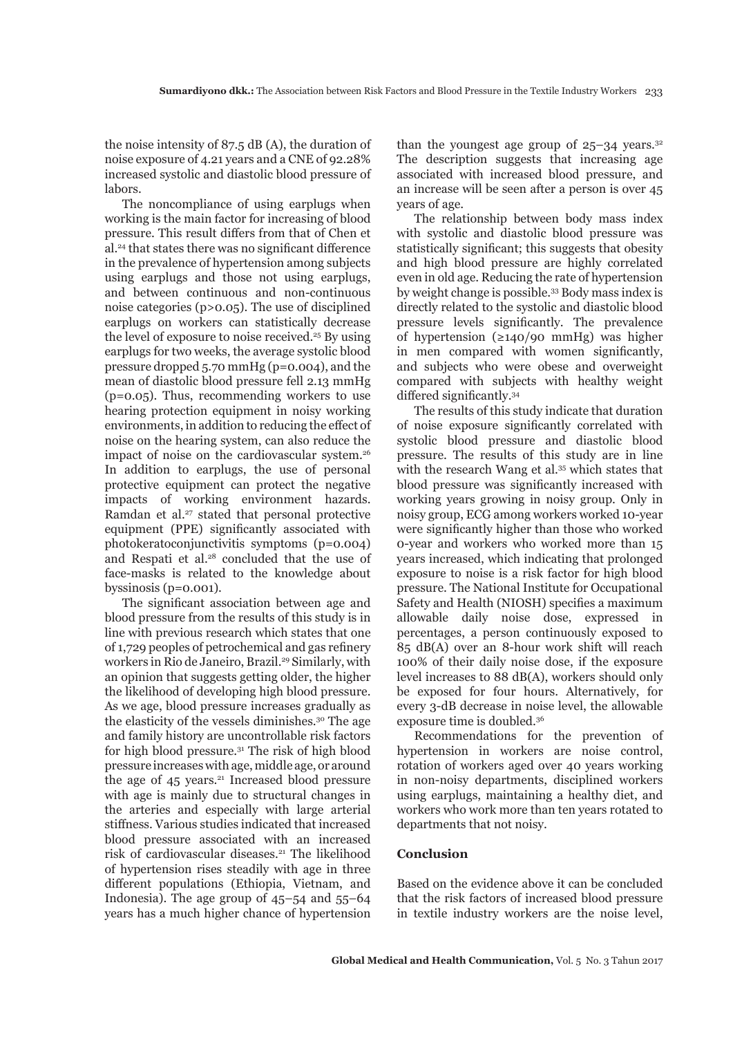the noise intensity of 87.5 dB (A), the duration of noise exposure of 4.21 years and a CNE of 92.28% increased systolic and diastolic blood pressure of labors.

The noncompliance of using earplugs when working is the main factor for increasing of blood pressure. This result differs from that of Chen et al.24 that states there was no significant difference in the prevalence of hypertension among subjects using earplugs and those not using earplugs, and between continuous and non-continuous noise categories (p>0.05). The use of disciplined earplugs on workers can statistically decrease the level of exposure to noise received.<sup>25</sup> By using earplugs for two weeks, the average systolic blood pressure dropped 5.70 mmHg (p=0.004), and the mean of diastolic blood pressure fell 2.13 mmHg (p=0.05). Thus, recommending workers to use hearing protection equipment in noisy working environments, in addition to reducing the effect of noise on the hearing system, can also reduce the impact of noise on the cardiovascular system.<sup>26</sup> In addition to earplugs, the use of personal protective equipment can protect the negative impacts of working environment hazards. Ramdan et al.<sup>27</sup> stated that personal protective equipment (PPE) significantly associated with photokeratoconjunctivitis symptoms (p=0.004) and Respati et al.28 concluded that the use of face-masks is related to the knowledge about byssinosis (p=0.001).

The significant association between age and blood pressure from the results of this study is in line with previous research which states that one of 1,729 peoples of petrochemical and gas refinery workers in Rio de Janeiro, Brazil.<sup>29</sup> Similarly, with an opinion that suggests getting older, the higher the likelihood of developing high blood pressure. As we age, blood pressure increases gradually as the elasticity of the vessels diminishes.30 The age and family history are uncontrollable risk factors for high blood pressure.31 The risk of high blood pressure increases with age, middle age, or around the age of 45 years.<sup>21</sup> Increased blood pressure with age is mainly due to structural changes in the arteries and especially with large arterial stiffness. Various studies indicated that increased blood pressure associated with an increased risk of cardiovascular diseases.<sup>21</sup> The likelihood of hypertension rises steadily with age in three different populations (Ethiopia, Vietnam, and Indonesia). The age group of 45–54 and 55–64 years has a much higher chance of hypertension

than the voungest age group of  $25-34$  years.<sup>32</sup> The description suggests that increasing age associated with increased blood pressure, and an increase will be seen after a person is over 45 years of age.

The relationship between body mass index with systolic and diastolic blood pressure was statistically significant; this suggests that obesity and high blood pressure are highly correlated even in old age. Reducing the rate of hypertension by weight change is possible.33 Body mass index is directly related to the systolic and diastolic blood pressure levels significantly. The prevalence of hypertension (≥140/90 mmHg) was higher in men compared with women significantly, and subjects who were obese and overweight compared with subjects with healthy weight differed significantly.<sup>34</sup>

The results of this study indicate that duration of noise exposure significantly correlated with systolic blood pressure and diastolic blood pressure. The results of this study are in line with the research Wang et al.<sup>35</sup> which states that blood pressure was significantly increased with working years growing in noisy group. Only in noisy group, ECG among workers worked 10-year were significantly higher than those who worked 0-year and workers who worked more than 15 years increased, which indicating that prolonged exposure to noise is a risk factor for high blood pressure. The National Institute for Occupational Safety and Health (NIOSH) specifies a maximum allowable daily noise dose, expressed in percentages, a person continuously exposed to 85 dB(A) over an 8-hour work shift will reach 100% of their daily noise dose, if the exposure level increases to 88 dB(A), workers should only be exposed for four hours. Alternatively, for every 3-dB decrease in noise level, the allowable exposure time is doubled.36

Recommendations for the prevention of hypertension in workers are noise control, rotation of workers aged over 40 years working in non-noisy departments, disciplined workers using earplugs, maintaining a healthy diet, and workers who work more than ten years rotated to departments that not noisy.

# **Conclusion**

Based on the evidence above it can be concluded that the risk factors of increased blood pressure in textile industry workers are the noise level,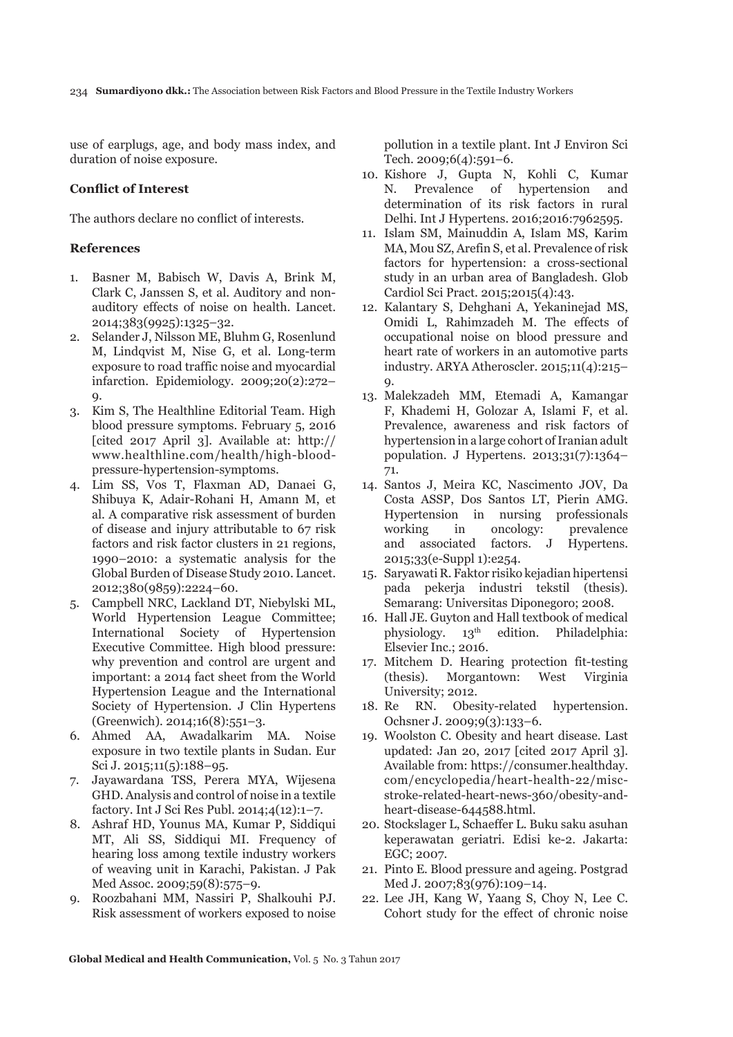234 **Sumardiyono dkk.:** The Association between Risk Factors and Blood Pressure in the Textile Industry Workers

use of earplugs, age, and body mass index, and duration of noise exposure.

## **Conflict of Interest**

The authors declare no conflict of interests.

## **References**

- 1. Basner M, Babisch W, Davis A, Brink M, Clark C, Janssen S, et al. Auditory and nonauditory effects of noise on health. Lancet. 2014;383(9925):1325–32.
- 2. Selander J, Nilsson ME, Bluhm G, Rosenlund M, Lindqvist M, Nise G, et al. Long-term exposure to road traffic noise and myocardial infarction. Epidemiology. 2009;20(2):272–  $\Omega$ .
- 3. Kim S, The Healthline Editorial Team. High blood pressure symptoms. February 5, 2016 [cited 2017 April 3]. Available at: http:// www.healthline.com/health/high-bloodpressure-hypertension-symptoms.
- 4. Lim SS, Vos T, Flaxman AD, Danaei G, Shibuya K, Adair-Rohani H, Amann M, et al. A comparative risk assessment of burden of disease and injury attributable to 67 risk factors and risk factor clusters in 21 regions, 1990–2010: a systematic analysis for the Global Burden of Disease Study 2010. Lancet. 2012;380(9859):2224–60.
- 5. Campbell NRC, Lackland DT, Niebylski ML, World Hypertension League Committee; International Society of Hypertension Executive Committee. High blood pressure: why prevention and control are urgent and important: a 2014 fact sheet from the World Hypertension League and the International Society of Hypertension. J Clin Hypertens (Greenwich). 2014;16(8):551–3.
- 6. Ahmed AA, Awadalkarim MA. Noise exposure in two textile plants in Sudan. Eur Sci J. 2015;11(5):188–95.
- 7. Jayawardana TSS, Perera MYA, Wijesena GHD. Analysis and control of noise in a textile factory. Int J Sci Res Publ. 2014;4(12):1–7.
- 8. Ashraf HD, Younus MA, Kumar P, Siddiqui MT, Ali SS, Siddiqui MI. Frequency of hearing loss among textile industry workers of weaving unit in Karachi, Pakistan. J Pak Med Assoc. 2009;59(8):575–9.
- 9. Roozbahani MM, Nassiri P, Shalkouhi PJ. Risk assessment of workers exposed to noise

pollution in a textile plant. Int J Environ Sci Tech. 2009;6(4):591–6.

- 10. Kishore J, Gupta N, Kohli C, Kumar N. Prevalence of hypertension and determination of its risk factors in rural Delhi. Int J Hypertens. 2016;2016:7962595.
- 11. Islam SM, Mainuddin A, Islam MS, Karim MA, Mou SZ, Arefin S, et al. Prevalence of risk factors for hypertension: a cross-sectional study in an urban area of Bangladesh. Glob Cardiol Sci Pract. 2015;2015(4):43.
- 12. Kalantary S, Dehghani A, Yekaninejad MS, Omidi L, Rahimzadeh M. The effects of occupational noise on blood pressure and heart rate of workers in an automotive parts industry. ARYA Atheroscler. 2015;11(4):215–  $Q_{\lambda}$
- 13. Malekzadeh MM, Etemadi A, Kamangar F, Khademi H, Golozar A, Islami F, et al. Prevalence, awareness and risk factors of hypertension in a large cohort of Iranian adult population. J Hypertens. 2013;31(7):1364– 71.
- 14. Santos J, Meira KC, Nascimento JOV, Da Costa ASSP, Dos Santos LT, Pierin AMG. Hypertension in nursing professionals working in oncology: prevalence and associated factors. J Hypertens. 2015;33(e-Suppl 1):e254.
- 15. Saryawati R. Faktor risiko kejadian hipertensi pada pekerja industri tekstil (thesis). Semarang: Universitas Diponegoro; 2008.
- 16. Hall JE. Guyton and Hall textbook of medical physiology. 13th edition. Philadelphia: Elsevier Inc.; 2016.
- 17. Mitchem D. Hearing protection fit-testing (thesis). Morgantown: West Virginia University; 2012.
- 18. Re RN. Obesity-related hypertension. Ochsner J. 2009;9(3):133–6.
- 19. Woolston C. Obesity and heart disease. Last updated: Jan 20, 2017 [cited 2017 April 3]. Available from: https://consumer.healthday. com/encyclopedia/heart-health-22/miscstroke-related-heart-news-360/obesity-andheart-disease-644588.html.
- 20. Stockslager L, Schaeffer L. Buku saku asuhan keperawatan geriatri. Edisi ke-2. Jakarta: EGC; 2007.
- 21. Pinto E. Blood pressure and ageing. Postgrad Med J. 2007;83(976):109-14.
- 22. Lee JH, Kang W, Yaang S, Choy N, Lee C. Cohort study for the effect of chronic noise